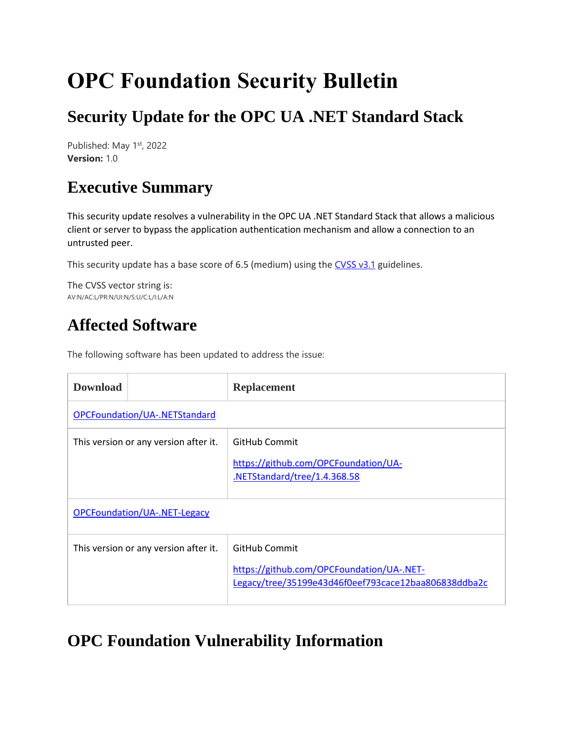# **OPC Foundation Security Bulletin**

# **Security Update for the OPC UA .NET Standard Stack**

Published: May 1<sup>st</sup>, 2022 **Version:** 1.0

## **Executive Summary**

This security update resolves a vulnerability in the OPC UA .NET Standard Stack that allows a malicious client or server to bypass the application authentication mechanism and allow a connection to an untrusted peer.

This security update has a base score of 6.5 (medium) using the  $CVSS v3.1$  guidelines.

The CVSS vector string is: AV:N/AC:L/PR:N/UI:N/S:U/C:L/I:L/A:N

## **Affected Software**

The following software has been updated to address the issue:

| <b>Download</b>                       | <b>Replacement</b>                                                                                                 |  |  |  |
|---------------------------------------|--------------------------------------------------------------------------------------------------------------------|--|--|--|
| OPCFoundation/UA-.NETStandard         |                                                                                                                    |  |  |  |
| This version or any version after it. | GitHub Commit<br>https://github.com/OPCFoundation/UA-<br>.NETStandard/tree/1.4.368.58                              |  |  |  |
| OPCFoundation/UA-.NET-Legacy          |                                                                                                                    |  |  |  |
| This version or any version after it. | GitHub Commit<br>https://github.com/OPCFoundation/UA-.NET-<br>Legacy/tree/35199e43d46f0eef793cace12baa806838ddba2c |  |  |  |

## **OPC Foundation Vulnerability Information**